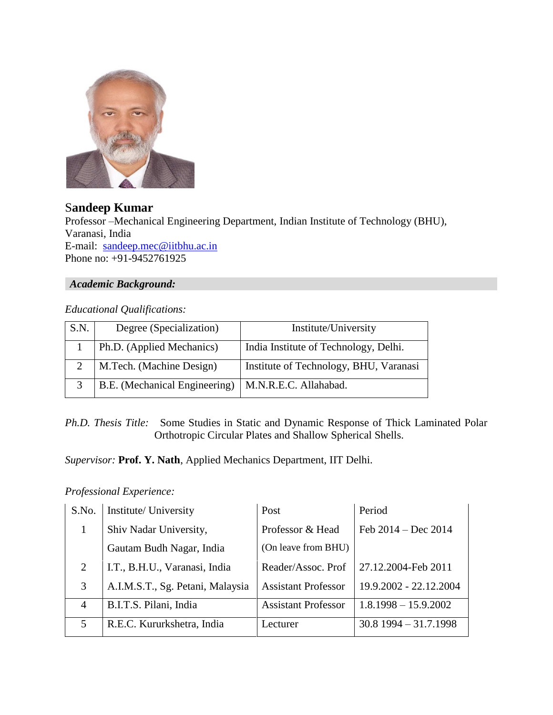

S**andeep Kumar** Professor –Mechanical Engineering Department, Indian Institute of Technology (BHU), Varanasi, India E-mail: [sandeep.mec@iitbhu.ac.in](mailto:sandeep.mec@iitbhu.ac.in) Phone no: +91-9452761925

### *Academic Background:*

# *Educational Qualifications:*

| S.N. | Degree (Specialization)       | Institute/University                   |  |
|------|-------------------------------|----------------------------------------|--|
|      | Ph.D. (Applied Mechanics)     | India Institute of Technology, Delhi.  |  |
|      | M.Tech. (Machine Design)      | Institute of Technology, BHU, Varanasi |  |
|      | B.E. (Mechanical Engineering) | M.N.R.E.C. Allahabad.                  |  |

*Ph.D. Thesis Title:* Some Studies in Static and Dynamic Response of Thick Laminated Polar Orthotropic Circular Plates and Shallow Spherical Shells.

*Supervisor:* **Prof. Y. Nath**, Applied Mechanics Department, IIT Delhi.

#### *Professional Experience:*

| S.No.          | Institute/ University            | Post                       | Period                  |
|----------------|----------------------------------|----------------------------|-------------------------|
|                | Shiv Nadar University,           | Professor & Head           | Feb $2014 - Dec 2014$   |
|                | Gautam Budh Nagar, India         | (On leave from BHU)        |                         |
| 2              | I.T., B.H.U., Varanasi, India    | Reader/Assoc. Prof         | 27.12.2004-Feb 2011     |
| 3              | A.I.M.S.T., Sg. Petani, Malaysia | <b>Assistant Professor</b> | 19.9.2002 - 22.12.2004  |
| $\overline{4}$ | B.I.T.S. Pilani, India           | <b>Assistant Professor</b> | $1.8.1998 - 15.9.2002$  |
| 5              | R.E.C. Kururkshetra, India       | Lecturer                   | $30.8$ 1994 - 31.7.1998 |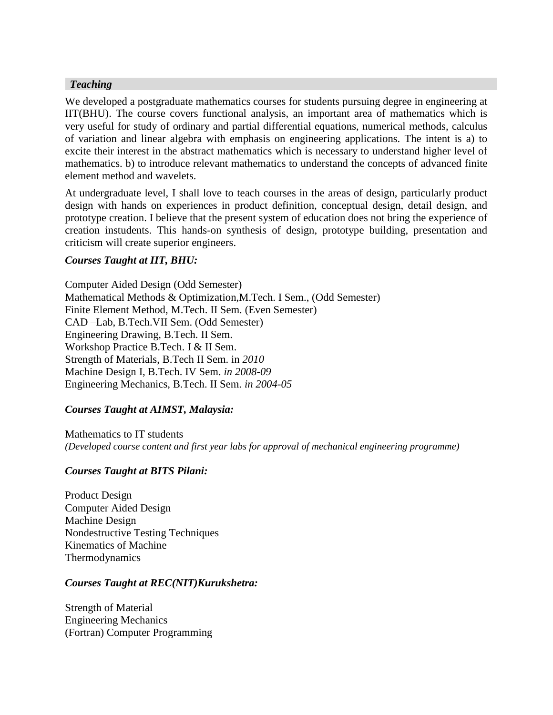#### *Teaching*

We developed a postgraduate mathematics courses for students pursuing degree in engineering at IIT(BHU). The course covers functional analysis, an important area of mathematics which is very useful for study of ordinary and partial differential equations, numerical methods, calculus of variation and linear algebra with emphasis on engineering applications. The intent is a) to excite their interest in the abstract mathematics which is necessary to understand higher level of mathematics. b) to introduce relevant mathematics to understand the concepts of advanced finite element method and wavelets.

At undergraduate level, I shall love to teach courses in the areas of design, particularly product design with hands on experiences in product definition, conceptual design, detail design, and prototype creation. I believe that the present system of education does not bring the experience of creation instudents. This hands-on synthesis of design, prototype building, presentation and criticism will create superior engineers.

#### *Courses Taught at IIT, BHU:*

Computer Aided Design (Odd Semester) Mathematical Methods & Optimization,M.Tech. I Sem., (Odd Semester) Finite Element Method, M.Tech. II Sem. (Even Semester) CAD –Lab, B.Tech.VII Sem. (Odd Semester) Engineering Drawing, B.Tech. II Sem. Workshop Practice B.Tech. I & II Sem. Strength of Materials, B.Tech II Sem. in *2010* Machine Design I, B.Tech. IV Sem. *in 2008-09* Engineering Mechanics, B.Tech. II Sem. *in 2004-05*

# *Courses Taught at AIMST, Malaysia:*

Mathematics to IT students *(Developed course content and first year labs for approval of mechanical engineering programme)*

# *Courses Taught at BITS Pilani:*

Product Design Computer Aided Design Machine Design Nondestructive Testing Techniques Kinematics of Machine Thermodynamics

#### *Courses Taught at REC(NIT)Kurukshetra:*

Strength of Material Engineering Mechanics (Fortran) Computer Programming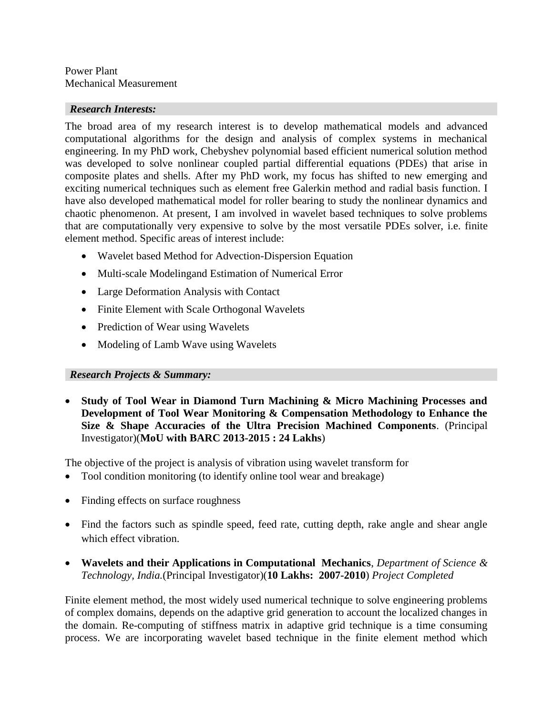#### Power Plant Mechanical Measurement

### *Research Interests:*

The broad area of my research interest is to develop mathematical models and advanced computational algorithms for the design and analysis of complex systems in mechanical engineering. In my PhD work, Chebyshev polynomial based efficient numerical solution method was developed to solve nonlinear coupled partial differential equations (PDEs) that arise in composite plates and shells. After my PhD work, my focus has shifted to new emerging and exciting numerical techniques such as element free Galerkin method and radial basis function. I have also developed mathematical model for roller bearing to study the nonlinear dynamics and chaotic phenomenon. At present, I am involved in wavelet based techniques to solve problems that are computationally very expensive to solve by the most versatile PDEs solver, i.e. finite element method. Specific areas of interest include:

- Wavelet based Method for Advection-Dispersion Equation
- Multi-scale Modelingand Estimation of Numerical Error
- Large Deformation Analysis with Contact
- Finite Element with Scale Orthogonal Wavelets
- Prediction of Wear using Wavelets
- Modeling of Lamb Wave using Wavelets

# *Research Projects & Summary:*

 **Study of Tool Wear in Diamond Turn Machining & Micro Machining Processes and Development of Tool Wear Monitoring & Compensation Methodology to Enhance the Size & Shape Accuracies of the Ultra Precision Machined Components**. (Principal Investigator)(**MoU with BARC 2013-2015 : 24 Lakhs**)

The objective of the project is analysis of vibration using wavelet transform for

- Tool condition monitoring (to identify online tool wear and breakage)
- Finding effects on surface roughness
- Find the factors such as spindle speed, feed rate, cutting depth, rake angle and shear angle which effect vibration.
- **Wavelets and their Applications in Computational Mechanics**, *Department of Science & Technology, India.*(Principal Investigator)(**10 Lakhs: 2007-2010**) *Project Completed*

Finite element method, the most widely used numerical technique to solve engineering problems of complex domains, depends on the adaptive grid generation to account the localized changes in the domain. Re-computing of stiffness matrix in adaptive grid technique is a time consuming process. We are incorporating wavelet based technique in the finite element method which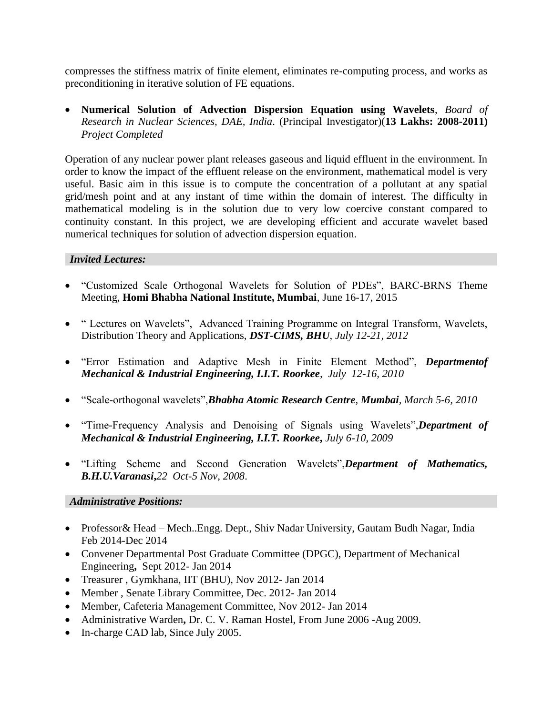compresses the stiffness matrix of finite element, eliminates re-computing process, and works as preconditioning in iterative solution of FE equations.

 **Numerical Solution of Advection Dispersion Equation using Wavelets**, *Board of Research in Nuclear Sciences, DAE, India*. (Principal Investigator)(**13 Lakhs: 2008-2011)** *Project Completed*

Operation of any nuclear power plant releases gaseous and liquid effluent in the environment. In order to know the impact of the effluent release on the environment, mathematical model is very useful. Basic aim in this issue is to compute the concentration of a pollutant at any spatial grid/mesh point and at any instant of time within the domain of interest. The difficulty in mathematical modeling is in the solution due to very low coercive constant compared to continuity constant. In this project, we are developing efficient and accurate wavelet based numerical techniques for solution of advection dispersion equation.

#### *Invited Lectures:*

- "Customized Scale Orthogonal Wavelets for Solution of PDEs", BARC-BRNS Theme Meeting, **Homi Bhabha National Institute, Mumbai**, June 16-17, 2015
- " Lectures on Wavelets", Advanced Training Programme on Integral Transform, Wavelets, Distribution Theory and Applications, *DST-CIMS, BHU*, *July 12-21, 2012*
- "Error Estimation and Adaptive Mesh in Finite Element Method", *Departmentof Mechanical & Industrial Engineering, I.I.T. Roorkee, July 12-16, 2010*
- "Scale-orthogonal wavelets",*Bhabha Atomic Research Centre, Mumbai, March 5-6, 2010*
- "Time-Frequency Analysis and Denoising of Signals using Wavelets",*Department of Mechanical & Industrial Engineering, I.I.T. Roorkee***,** *July 6-10, 2009*
- "Lifting Scheme and Second Generation Wavelets",*Department of Mathematics, B.H.U.Varanasi***,***22 Oct-5 Nov, 2008*.

#### *Administrative Positions:*

- Professor & Head Mech..Engg. Dept., Shiv Nadar University, Gautam Budh Nagar, India Feb 2014-Dec 2014
- Convener Departmental Post Graduate Committee (DPGC), Department of Mechanical Engineering**,** Sept 2012- Jan 2014
- Treasurer , Gymkhana, IIT (BHU), Nov 2012- Jan 2014
- Member , Senate Library Committee, Dec. 2012- Jan 2014
- Member, Cafeteria Management Committee, Nov 2012- Jan 2014
- Administrative Warden**,** Dr. C. V. Raman Hostel, From June 2006 -Aug 2009.
- In-charge CAD lab, Since July 2005.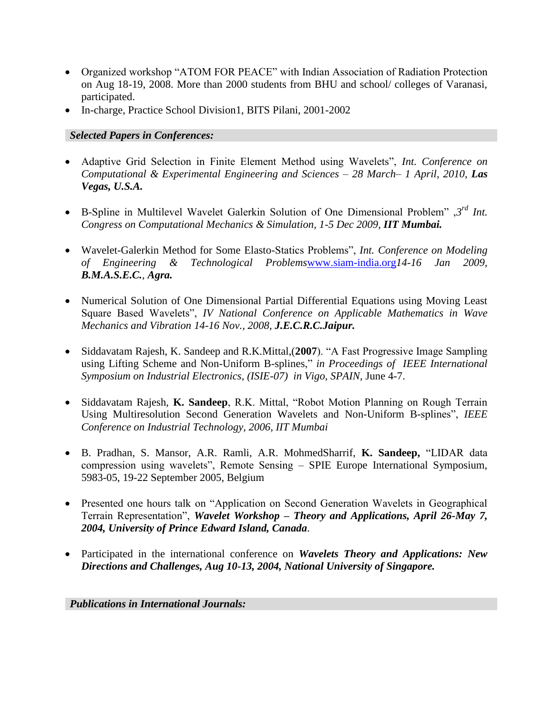- Organized workshop "ATOM FOR PEACE" with Indian Association of Radiation Protection on Aug 18-19, 2008. More than 2000 students from BHU and school/ colleges of Varanasi, participated.
- In-charge, Practice School Division1, BITS Pilani, 2001-2002

### *Selected Papers in Conferences:*

- Adaptive Grid Selection in Finite Element Method using Wavelets", *Int. Conference on Computational & Experimental Engineering and Sciences – 28 March– 1 April, 2010, Las Vegas, U.S.A.*
- B-Spline in Multilevel Wavelet Galerkin Solution of One Dimensional Problem", 3<sup>rd</sup> Int. *Congress on Computational Mechanics & Simulation, 1-5 Dec 2009, IIT Mumbai.*
- Wavelet-Galerkin Method for Some Elasto-Statics Problems", *Int. Conference on Modeling of Engineering & Technological Problems*[www.siam-india.org](http://www.siam-india.org/)*14-16 Jan 2009, B.M.A.S.E.C., Agra.*
- Numerical Solution of One Dimensional Partial Differential Equations using Moving Least Square Based Wavelets", *IV National Conference on Applicable Mathematics in Wave Mechanics and Vibration 14-16 Nov., 2008, J.E.C.R.C.Jaipur.*
- Siddavatam Rajesh, K. Sandeep and R.K.Mittal,(**2007**). "A Fast Progressive Image Sampling using Lifting Scheme and Non-Uniform B-splines," *in Proceedings of IEEE International Symposium on Industrial Electronics, (ISIE-07) in Vigo, SPAIN,* June 4-7.
- Siddavatam Rajesh, **K. Sandeep**, R.K. Mittal, "Robot Motion Planning on Rough Terrain Using Multiresolution Second Generation Wavelets and Non-Uniform B-splines", *IEEE Conference on Industrial Technology, 2006, IIT Mumbai*
- B. Pradhan, S. Mansor, A.R. Ramli, A.R. MohmedSharrif, **K. Sandeep,** "LIDAR data compression using wavelets", Remote Sensing – SPIE Europe International Symposium, 5983-05, 19-22 September 2005, Belgium
- Presented one hours talk on "Application on Second Generation Wavelets in Geographical Terrain Representation", *Wavelet Workshop – Theory and Applications, April 26-May 7, 2004, University of Prince Edward Island, Canada*.
- Participated in the international conference on *Wavelets Theory and Applications: New Directions and Challenges, Aug 10-13, 2004, National University of Singapore.*

*Publications in International Journals:*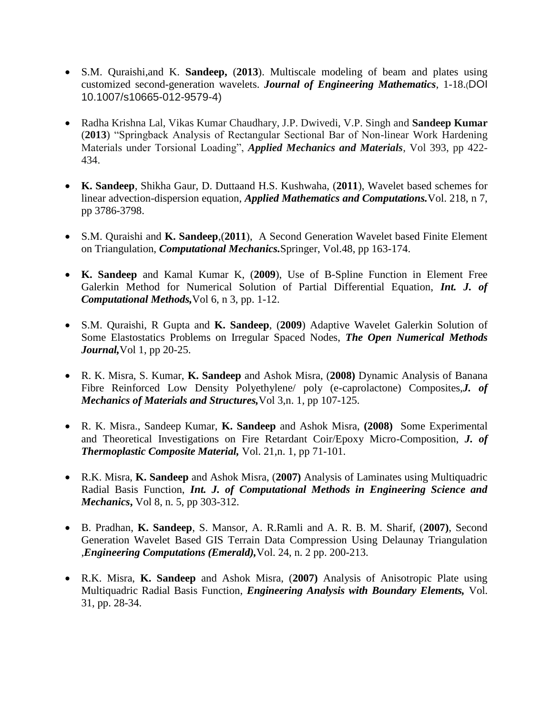- S.M. Quraishi,and K. **Sandeep,** (**2013**). Multiscale modeling of beam and plates using customized second-generation wavelets. *Journal of Engineering Mathematics*, 1-18.(DOI 10.1007/s10665-012-9579-4)
- Radha Krishna Lal, Vikas Kumar Chaudhary, J.P. Dwivedi, V.P. Singh and **Sandeep Kumar** (**2013**) "Springback Analysis of Rectangular Sectional Bar of Non-linear Work Hardening Materials under Torsional Loading", *Applied Mechanics and Materials*, Vol 393, pp 422- 434.
- **K. Sandeep**, Shikha Gaur, D. Duttaand H.S. Kushwaha, (**2011**), Wavelet based schemes for linear advection-dispersion equation, *Applied Mathematics and Computations.*Vol. 218, n 7, pp 3786-3798.
- S.M. Quraishi and **K. Sandeep**,(**2011**), A Second Generation Wavelet based Finite Element on Triangulation, *Computational Mechanics.*Springer, Vol.48, pp 163-174.
- **K. Sandeep** and Kamal Kumar K, (**2009**), Use of B-Spline Function in Element Free Galerkin Method for Numerical Solution of Partial Differential Equation, *Int. J. of Computational Methods,*Vol 6, n 3, pp. 1-12.
- S.M. Quraishi, R Gupta and **K. Sandeep**, (**2009**) Adaptive Wavelet Galerkin Solution of Some Elastostatics Problems on Irregular Spaced Nodes, *The Open Numerical Methods Journal,*Vol 1, pp 20-25.
- R. K. Misra, S. Kumar, **K. Sandeep** and Ashok Misra, (**2008)** Dynamic Analysis of Banana Fibre Reinforced Low Density Polyethylene/ poly (e-caprolactone) Composites,*J. of Mechanics of Materials and Structures,*Vol 3,n. 1, pp 107-125.
- R. K. Misra., Sandeep Kumar, **K. Sandeep** and Ashok Misra, **(2008)** Some Experimental and Theoretical Investigations on Fire Retardant Coir/Epoxy Micro-Composition, *J. of Thermoplastic Composite Material,* Vol. 21,n. 1, pp 71-101.
- R.K. Misra, **K. Sandeep** and Ashok Misra, (**2007)** Analysis of Laminates using Multiquadric Radial Basis Function, *Int. J. of Computational Methods in Engineering Science and Mechanics***,** Vol 8, n. 5, pp 303-312.
- B. Pradhan, **K. Sandeep**, S. Mansor, A. R.Ramli and A. R. B. M. Sharif, (**2007)**, Second Generation Wavelet Based GIS Terrain Data Compression Using Delaunay Triangulation ,*Engineering Computations (Emerald),*Vol. 24, n. 2 pp. 200-213.
- R.K. Misra, **K. Sandeep** and Ashok Misra, (**2007)** Analysis of Anisotropic Plate using Multiquadric Radial Basis Function, *Engineering Analysis with Boundary Elements,* Vol. 31, pp. 28-34.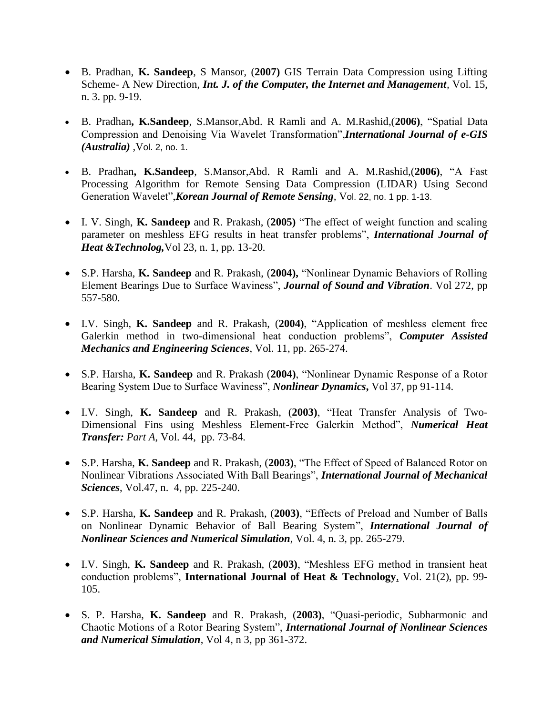- B. Pradhan, **K. Sandeep**, S Mansor, (**2007)** GIS Terrain Data Compression using Lifting Scheme- A New Direction, *Int. J. of the Computer, the Internet and Management,* Vol. 15, n. 3. pp. 9-19.
- B. Pradhan**, K.Sandeep**, S.Mansor,Abd. R Ramli and A. M.Rashid,(**2006)**, "Spatial Data Compression and Denoising Via Wavelet Transformation",*International Journal of e-GIS (Australia) ,*Vol. 2, no. 1.
- B. Pradhan**, K.Sandeep**, S.Mansor,Abd. R Ramli and A. M.Rashid,(**2006)**, "A Fast Processing Algorithm for Remote Sensing Data Compression (LIDAR) Using Second Generation Wavelet",*Korean Journal of Remote Sensing,* Vol. 22, no. 1 pp. 1-13.
- I. V. Singh, **K. Sandeep** and R. Prakash, (**2005)** "The effect of weight function and scaling parameter on meshless EFG results in heat transfer problems", *International Journal of Heat &Technolog,*Vol 23*,* n. 1*,* pp. 13-20*.*
- S.P. Harsha, **K. Sandeep** and R. Prakash, (**2004),** "Nonlinear Dynamic Behaviors of Rolling Element Bearings Due to Surface Waviness", *Journal of Sound and Vibration*. Vol 272, pp 557-580.
- I.V. Singh, **K. Sandeep** and R. Prakash, (**2004)**, "Application of meshless element free Galerkin method in two-dimensional heat conduction problems", *Computer Assisted Mechanics and Engineering Sciences*, Vol. 11, pp. 265-274.
- S.P. Harsha, **K. Sandeep** and R. Prakash (**2004)**, "Nonlinear Dynamic Response of a Rotor Bearing System Due to Surface Waviness", *Nonlinear Dynamics***,** Vol 37, pp 91-114.
- I.V. Singh, **K. Sandeep** and R. Prakash, (**2003)**, "Heat Transfer Analysis of Two-Dimensional Fins using Meshless Element-Free Galerkin Method", *Numerical Heat Transfer: Part A*, Vol. 44, pp. 73-84.
- S.P. Harsha, **K. Sandeep** and R. Prakash, (**2003)**, "The Effect of Speed of Balanced Rotor on Nonlinear Vibrations Associated With Ball Bearings", *International Journal of Mechanical Sciences*, Vol.47, n. 4, pp. 225-240.
- S.P. Harsha, **K. Sandeep** and R. Prakash, (**2003)**, "Effects of Preload and Number of Balls on Nonlinear Dynamic Behavior of Ball Bearing System", *International Journal of Nonlinear Sciences and Numerical Simulation*, Vol. 4, n. 3, pp. 265-279.
- I.V. Singh, **K. Sandeep** and R. Prakash, (**2003)**, "Meshless EFG method in transient heat conduction problems", **International Journal of Heat & Technology**, Vol. 21(2), pp. 99- 105.
- S. P. Harsha, **K. Sandeep** and R. Prakash, (**2003)**, "Quasi-periodic, Subharmonic and Chaotic Motions of a Rotor Bearing System", *International Journal of Nonlinear Sciences and Numerical Simulation*, Vol 4, n 3, pp 361-372.